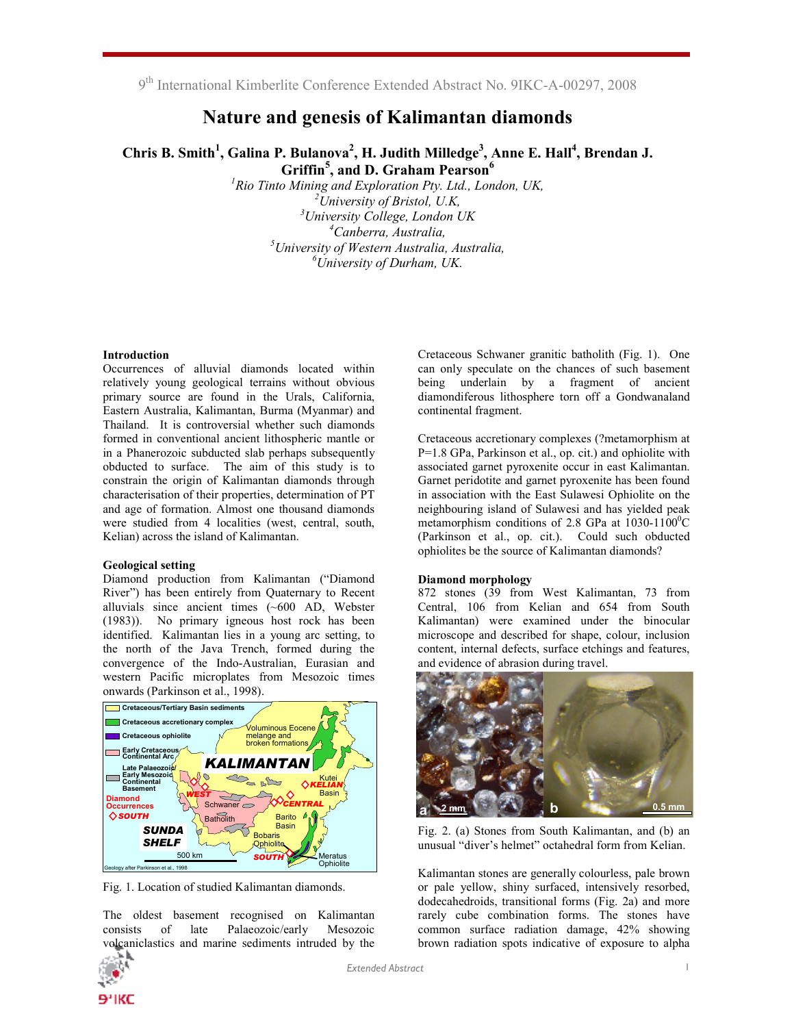9<sup>th</sup> International Kimberlite Conference Extended Abstract No. 9IKC-A-00297, 2008

# Nature and genesis of Kalimantan diamonds

Chris B. Smith<sup>1</sup>, Galina P. Bulanova<sup>2</sup>, H. Judith Milledge<sup>3</sup>, Anne E. Hall<sup>4</sup>, Brendan J. Griffin<sup>5</sup>, and D. Graham Pearson<sup>6</sup>

<sup>1</sup>Rio Tinto Mining and Exploration Pty. Ltd., London, UK,  $^{2}$ University of Bristol, U.K,  $3$ University College, London UK <sup>4</sup>Canberra, Australia,  $<sup>5</sup>$ University of Western Australia, Australia,</sup>  ${}^6$ University of Durham, UK.

## Introduction

Occurrences of alluvial diamonds located within relatively young geological terrains without obvious primary source are found in the Urals, California, Eastern Australia, Kalimantan, Burma (Myanmar) and Thailand. It is controversial whether such diamonds formed in conventional ancient lithospheric mantle or in a Phanerozoic subducted slab perhaps subsequently obducted to surface. The aim of this study is to constrain the origin of Kalimantan diamonds through characterisation of their properties, determination of PT and age of formation. Almost one thousand diamonds were studied from 4 localities (west, central, south, Kelian) across the island of Kalimantan.

### Geological setting

Diamond production from Kalimantan ("Diamond River") has been entirely from Quaternary to Recent alluvials since ancient times (~600 AD, Webster (1983)). No primary igneous host rock has been identified. Kalimantan lies in a young arc setting, to the north of the Java Trench, formed during the convergence of the Indo-Australian, Eurasian and western Pacific microplates from Mesozoic times onwards (Parkinson et al., 1998).



Fig. 1. Location of studied Kalimantan diamonds.

The oldest basement recognised on Kalimantan<br>consists of late Palaeozoic/early Mesozoic consists of late Palaeozoic/early Mesozoic volcaniclastics and marine sediments intruded by the



Cretaceous Schwaner granitic batholith (Fig. 1). One can only speculate on the chances of such basement being underlain by a fragment of ancient diamondiferous lithosphere torn off a Gondwanaland continental fragment.

Cretaceous accretionary complexes (?metamorphism at P=1.8 GPa, Parkinson et al., op. cit.) and ophiolite with associated garnet pyroxenite occur in east Kalimantan. Garnet peridotite and garnet pyroxenite has been found in association with the East Sulawesi Ophiolite on the neighbouring island of Sulawesi and has yielded peak metamorphism conditions of 2.8 GPa at  $1030-1100^{\circ}$ C (Parkinson et al., op. cit.). Could such obducted ophiolites be the source of Kalimantan diamonds?

# Diamond morphology

872 stones (39 from West Kalimantan, 73 from Central, 106 from Kelian and 654 from South Kalimantan) were examined under the binocular microscope and described for shape, colour, inclusion content, internal defects, surface etchings and features, and evidence of abrasion during travel.



Fig. 2. (a) Stones from South Kalimantan, and (b) an unusual "diver's helmet" octahedral form from Kelian.

Kalimantan stones are generally colourless, pale brown or pale yellow, shiny surfaced, intensively resorbed, dodecahedroids, transitional forms (Fig. 2a) and more rarely cube combination forms. The stones have common surface radiation damage, 42% showing brown radiation spots indicative of exposure to alpha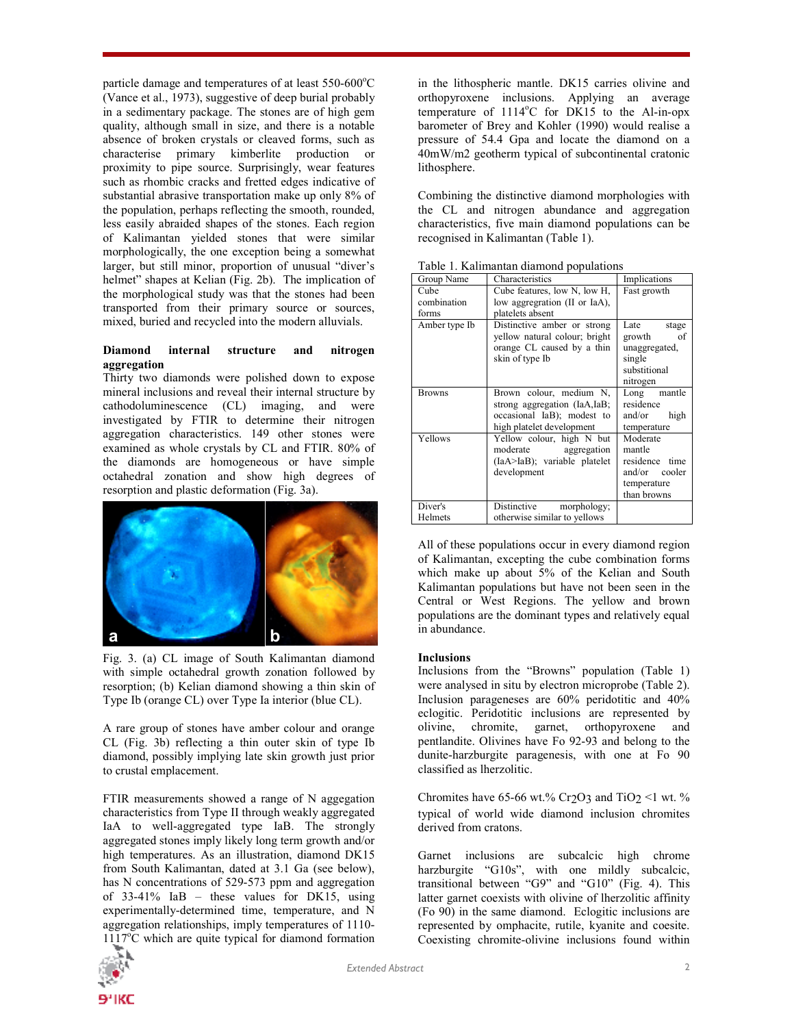particle damage and temperatures of at least 550-600°C (Vance et al., 1973), suggestive of deep burial probably in a sedimentary package. The stones are of high gem quality, although small in size, and there is a notable absence of broken crystals or cleaved forms, such as characterise primary kimberlite production or proximity to pipe source. Surprisingly, wear features such as rhombic cracks and fretted edges indicative of substantial abrasive transportation make up only 8% of the population, perhaps reflecting the smooth, rounded, less easily abraided shapes of the stones. Each region of Kalimantan yielded stones that were similar morphologically, the one exception being a somewhat larger, but still minor, proportion of unusual "diver's helmet" shapes at Kelian (Fig. 2b). The implication of the morphological study was that the stones had been transported from their primary source or sources, mixed, buried and recycled into the modern alluvials.

# Diamond internal structure and nitrogen aggregation

Thirty two diamonds were polished down to expose mineral inclusions and reveal their internal structure by cathodoluminescence (CL) imaging, and were investigated by FTIR to determine their nitrogen aggregation characteristics. 149 other stones were examined as whole crystals by CL and FTIR. 80% of the diamonds are homogeneous or have simple octahedral zonation and show high degrees of resorption and plastic deformation (Fig. 3a).



Fig. 3. (a) CL image of South Kalimantan diamond with simple octahedral growth zonation followed by resorption; (b) Kelian diamond showing a thin skin of Type Ib (orange CL) over Type Ia interior (blue CL).

A rare group of stones have amber colour and orange CL (Fig. 3b) reflecting a thin outer skin of type Ib diamond, possibly implying late skin growth just prior to crustal emplacement.

FTIR measurements showed a range of N aggegation characteristics from Type II through weakly aggregated IaA to well-aggregated type IaB. The strongly aggregated stones imply likely long term growth and/or high temperatures. As an illustration, diamond DK15 from South Kalimantan, dated at 3.1 Ga (see below), has N concentrations of 529-573 ppm and aggregation of 33-41% IaB – these values for DK15, using experimentally-determined time, temperature, and N aggregation relationships, imply temperatures of 1110-  $1117^{\circ}$ C which are quite typical for diamond formation



in the lithospheric mantle. DK15 carries olivine and orthopyroxene inclusions. Applying an average temperature of 1114°C for DK15 to the Al-in-opx barometer of Brey and Kohler (1990) would realise a pressure of 54.4 Gpa and locate the diamond on a 40mW/m2 geotherm typical of subcontinental cratonic lithosphere.

Combining the distinctive diamond morphologies with the CL and nitrogen abundance and aggregation characteristics, five main diamond populations can be recognised in Kalimantan (Table 1).

| Group Name                   | Characteristics                                                                                                    | Implications                                                                         |  |  |
|------------------------------|--------------------------------------------------------------------------------------------------------------------|--------------------------------------------------------------------------------------|--|--|
| Cube<br>combination<br>forms | Cube features, low N, low H,<br>low aggregration (II or IaA),<br>platelets absent                                  | Fast growth                                                                          |  |  |
| Amber type Ib                | Distinctive amber or strong<br>vellow natural colour; bright<br>orange CL caused by a thin<br>skin of type Ib      | Late<br>stage<br>growth<br>of<br>unaggregated,<br>single<br>substitional<br>nitrogen |  |  |
| <b>Browns</b>                | Brown colour, medium N,<br>strong aggregation (IaA,IaB;<br>occasional IaB); modest to<br>high platelet development | Long mantle<br>residence<br>and/or<br>high<br>temperature                            |  |  |
| Yellows                      | Yellow colour, high N but<br>moderate aggregation<br>(IaA>IaB); variable platelet<br>development                   | Moderate<br>mantle<br>residence time<br>and/or cooler<br>temperature<br>than browns  |  |  |
| Diver's<br>Helmets           | Distinctive<br>morphology;<br>otherwise similar to yellows                                                         |                                                                                      |  |  |

Table 1. Kalimantan diamond populations

All of these populations occur in every diamond region of Kalimantan, excepting the cube combination forms which make up about 5% of the Kelian and South Kalimantan populations but have not been seen in the Central or West Regions. The yellow and brown populations are the dominant types and relatively equal in abundance.

# Inclusions

Inclusions from the "Browns" population (Table 1) were analysed in situ by electron microprobe (Table 2). Inclusion parageneses are 60% peridotitic and 40% eclogitic. Peridotitic inclusions are represented by olivine, chromite, garnet, orthopyroxene and chromite, garnet, orthopyroxene and pentlandite. Olivines have Fo 92-93 and belong to the dunite-harzburgite paragenesis, with one at Fo 90 classified as lherzolitic.

Chromites have 65-66 wt.% Cr<sub>2</sub>O<sub>3</sub> and TiO<sub>2</sub> <1 wt. % typical of world wide diamond inclusion chromites derived from cratons.

Garnet inclusions are subcalcic high chrome harzburgite "G10s", with one mildly subcalcic, transitional between "G9" and "G10" (Fig. 4). This latter garnet coexists with olivine of lherzolitic affinity (Fo 90) in the same diamond. Eclogitic inclusions are represented by omphacite, rutile, kyanite and coesite. Coexisting chromite-olivine inclusions found within